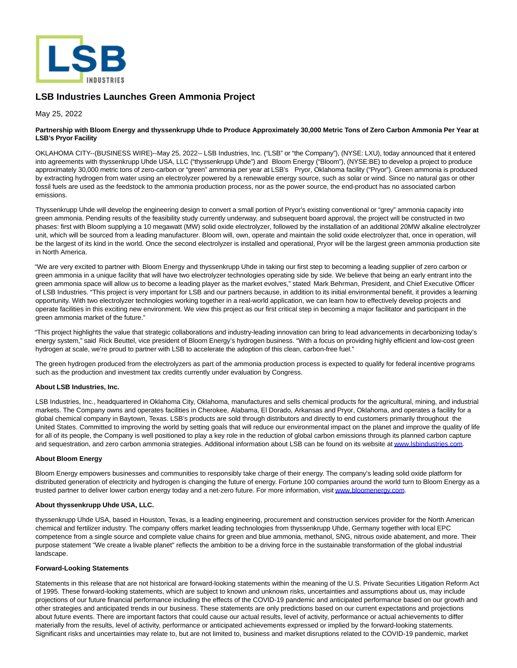

# **LSB Industries Launches Green Ammonia Project**

May 25, 2022

## **Partnership with Bloom Energy and thyssenkrupp Uhde to Produce Approximately 30,000 Metric Tons of Zero Carbon Ammonia Per Year at LSB's Pryor Facility**

OKLAHOMA CITY--(BUSINESS WIRE)--May 25, 2022-- LSB Industries, Inc. ("LSB" or "the Company"), (NYSE: LXU), today announced that it entered into agreements with thyssenkrupp Uhde USA, LLC ("thyssenkrupp Uhde") and Bloom Energy ("Bloom"), (NYSE:BE) to develop a project to produce approximately 30,000 metric tons of zero-carbon or "green" ammonia per year at LSB's Pryor, Oklahoma facility ("Pryor"). Green ammonia is produced by extracting hydrogen from water using an electrolyzer powered by a renewable energy source, such as solar or wind. Since no natural gas or other fossil fuels are used as the feedstock to the ammonia production process, nor as the power source, the end-product has no associated carbon emissions.

Thyssenkrupp Uhde will develop the engineering design to convert a small portion of Pryor's existing conventional or "grey" ammonia capacity into green ammonia. Pending results of the feasibility study currently underway, and subsequent board approval, the project will be constructed in two phases: first with Bloom supplying a 10 megawatt (MW) solid oxide electrolyzer, followed by the installation of an additional 20MW alkaline electrolyzer unit, which will be sourced from a leading manufacturer. Bloom will, own, operate and maintain the solid oxide electrolyzer that, once in operation, will be the largest of its kind in the world. Once the second electrolyzer is installed and operational, Pryor will be the largest green ammonia production site in North America.

"We are very excited to partner with Bloom Energy and thyssenkrupp Uhde in taking our first step to becoming a leading supplier of zero carbon or green ammonia in a unique facility that will have two electrolyzer technologies operating side by side. We believe that being an early entrant into the green ammonia space will allow us to become a leading player as the market evolves," stated Mark Behrman, President, and Chief Executive Officer of LSB Industries. "This project is very important for LSB and our partners because, in addition to its initial environmental benefit, it provides a learning opportunity. With two electrolyzer technologies working together in a real-world application, we can learn how to effectively develop projects and operate facilities in this exciting new environment. We view this project as our first critical step in becoming a major facilitator and participant in the green ammonia market of the future."

"This project highlights the value that strategic collaborations and industry-leading innovation can bring to lead advancements in decarbonizing today's energy system," said Rick Beuttel, vice president of Bloom Energy's hydrogen business. "With a focus on providing highly efficient and low-cost green hydrogen at scale, we're proud to partner with LSB to accelerate the adoption of this clean, carbon-free fuel."

The green hydrogen produced from the electrolyzers as part of the ammonia production process is expected to qualify for federal incentive programs such as the production and investment tax credits currently under evaluation by Congress.

### **About LSB Industries, Inc.**

LSB Industries, Inc., headquartered in Oklahoma City, Oklahoma, manufactures and sells chemical products for the agricultural, mining, and industrial markets. The Company owns and operates facilities in Cherokee, Alabama, El Dorado, Arkansas and Pryor, Oklahoma, and operates a facility for a global chemical company in Baytown, Texas. LSB's products are sold through distributors and directly to end customers primarily throughout the United States. Committed to improving the world by setting goals that will reduce our environmental impact on the planet and improve the quality of life for all of its people, the Company is well positioned to play a key role in the reduction of global carbon emissions through its planned carbon capture and sequestration, and zero carbon ammonia strategies. Additional information about LSB can be found on its website a[t www.lsbindustries.com.](https://cts.businesswire.com/ct/CT?id=smartlink&url=http%3A%2F%2Fwww.lsbindustries.com&esheet=52730314&newsitemid=20220525005360&lan=en-US&anchor=www.lsbindustries.com&index=1&md5=ae1626575f76c2c71a8a9250f2e6f717)

## **About Bloom Energy**

Bloom Energy empowers businesses and communities to responsibly take charge of their energy. The company's leading solid oxide platform for distributed generation of electricity and hydrogen is changing the future of energy. Fortune 100 companies around the world turn to Bloom Energy as a trusted partner to deliver lower carbon energy today and a net-zero future. For more information, visi[t www.bloomenergy.com.](https://cts.businesswire.com/ct/CT?id=smartlink&url=http%3A%2F%2Fwww.bloomenergy.com%2F&esheet=52730314&newsitemid=20220525005360&lan=en-US&anchor=www.bloomenergy.com&index=2&md5=c86752be92539b99bec30826f814a604)

#### **About thyssenkrupp Uhde USA, LLC.**

thyssenkrupp Uhde USA, based in Houston, Texas, is a leading engineering, procurement and construction services provider for the North American chemical and fertilizer industry. The company offers market leading technologies from thyssenkrupp Uhde, Germany together with local EPC competence from a single source and complete value chains for green and blue ammonia, methanol, SNG, nitrous oxide abatement, and more. Their purpose statement "We create a livable planet" reflects the ambition to be a driving force in the sustainable transformation of the global industrial landscape.

#### **Forward-Looking Statements**

Statements in this release that are not historical are forward-looking statements within the meaning of the U.S. Private Securities Litigation Reform Act of 1995. These forward-looking statements, which are subject to known and unknown risks, uncertainties and assumptions about us, may include projections of our future financial performance including the effects of the COVID-19 pandemic and anticipated performance based on our growth and other strategies and anticipated trends in our business. These statements are only predictions based on our current expectations and projections about future events. There are important factors that could cause our actual results, level of activity, performance or actual achievements to differ materially from the results, level of activity, performance or anticipated achievements expressed or implied by the forward-looking statements. Significant risks and uncertainties may relate to, but are not limited to, business and market disruptions related to the COVID-19 pandemic, market